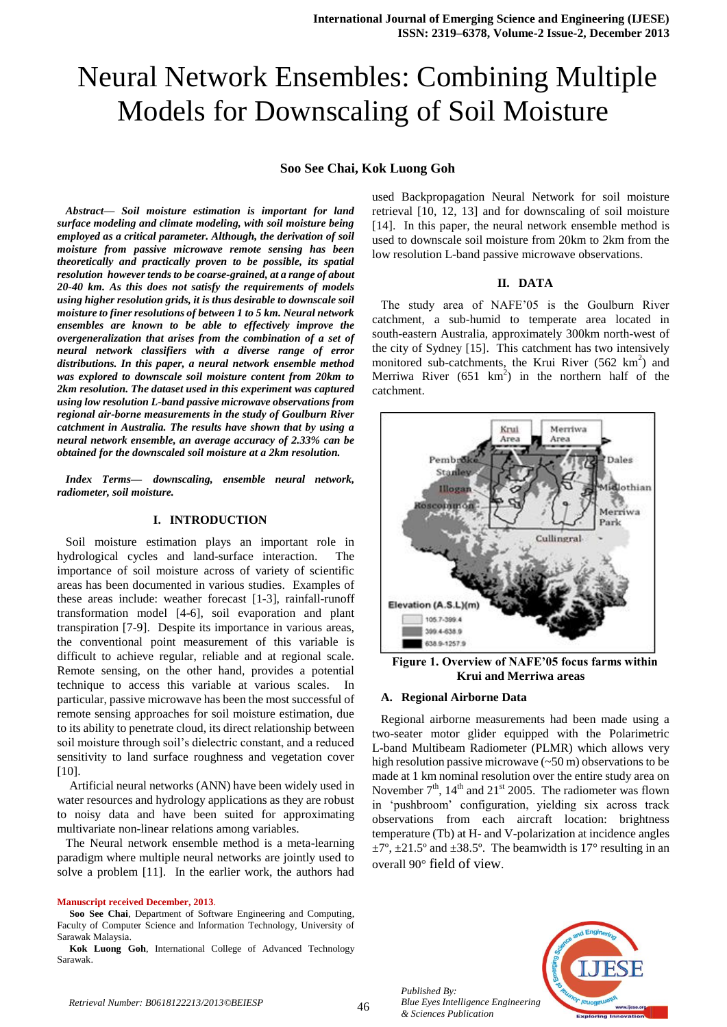# Neural Network Ensembles: Combining Multiple Models for Downscaling of Soil Moisture

#### **Soo See Chai, Kok Luong Goh**

*Abstract— Soil moisture estimation is important for land surface modeling and climate modeling, with soil moisture being employed as a critical parameter. Although, the derivation of soil moisture from passive microwave remote sensing has been theoretically and practically proven to be possible, its spatial resolution however tends to be coarse-grained, at a range of about 20-40 km. As this does not satisfy the requirements of models using higher resolution grids, it is thus desirable to downscale soil moisture to finer resolutions of between 1 to 5 km. Neural network ensembles are known to be able to effectively improve the overgeneralization that arises from the combination of a set of neural network classifiers with a diverse range of error distributions. In this paper, a neural network ensemble method was explored to downscale soil moisture content from 20km to 2km resolution. The dataset used in this experiment was captured using low resolution L-band passive microwave observations from regional air-borne measurements in the study of Goulburn River catchment in Australia. The results have shown that by using a neural network ensemble, an average accuracy of 2.33% can be obtained for the downscaled soil moisture at a 2km resolution.*

*Index Terms— downscaling, ensemble neural network, radiometer, soil moisture.* 

#### **I. INTRODUCTION**

Soil moisture estimation plays an important role in hydrological cycles and land-surface interaction. The importance of soil moisture across of variety of scientific areas has been documented in various studies. Examples of these areas include: weather forecast [1-3], rainfall-runoff transformation model [4-6], soil evaporation and plant transpiration [7-9]. Despite its importance in various areas, the conventional point measurement of this variable is difficult to achieve regular, reliable and at regional scale. Remote sensing, on the other hand, provides a potential technique to access this variable at various scales. In particular, passive microwave has been the most successful of remote sensing approaches for soil moisture estimation, due to its ability to penetrate cloud, its direct relationship between soil moisture through soil's dielectric constant, and a reduced sensitivity to land surface roughness and vegetation cover [10].

Artificial neural networks (ANN) have been widely used in water resources and hydrology applications as they are robust to noisy data and have been suited for approximating multivariate non-linear relations among variables.

The Neural network ensemble method is a meta-learning paradigm where multiple neural networks are jointly used to solve a problem [11]. In the earlier work, the authors had

#### **Manuscript received December, 2013**.

**Soo See Chai**, Department of Software Engineering and Computing, Faculty of Computer Science and Information Technology, University of Sarawak Malaysia.

**Kok Luong Goh**, International College of Advanced Technology Sarawak.

used Backpropagation Neural Network for soil moisture retrieval [10, 12, 13] and for downscaling of soil moisture [14]. In this paper, the neural network ensemble method is used to downscale soil moisture from 20km to 2km from the low resolution L-band passive microwave observations.

#### **II. DATA**

The study area of NAFE'05 is the Goulburn River catchment, a sub-humid to temperate area located in south-eastern Australia, approximately 300km north-west of the city of Sydney [15]. This catchment has two intensively monitored sub-catchments, the Krui River  $(562 \text{ km}^2)$  and Merriwa River  $(651 \text{ km}^2)$  in the northern half of the catchment.



**Figure 1. Overview of NAFE'05 focus farms within Krui and Merriwa areas**

#### **A. Regional Airborne Data**

Regional airborne measurements had been made using a two-seater motor glider equipped with the Polarimetric L-band Multibeam Radiometer (PLMR) which allows very high resolution passive microwave (~50 m) observations to be made at 1 km nominal resolution over the entire study area on November  $7<sup>th</sup>$ ,  $14<sup>th</sup>$  and  $21<sup>st</sup>$  2005. The radiometer was flown in 'pushbroom' configuration, yielding six across track observations from each aircraft location: brightness temperature (Tb) at H- and V-polarization at incidence angles  $\pm 7^\circ$ ,  $\pm 21.5^\circ$  and  $\pm 38.5^\circ$ . The beamwidth is 17° resulting in an overall 90° field of view.



*Published By: Blue Eyes Intelligence Engineering & Sciences Publication*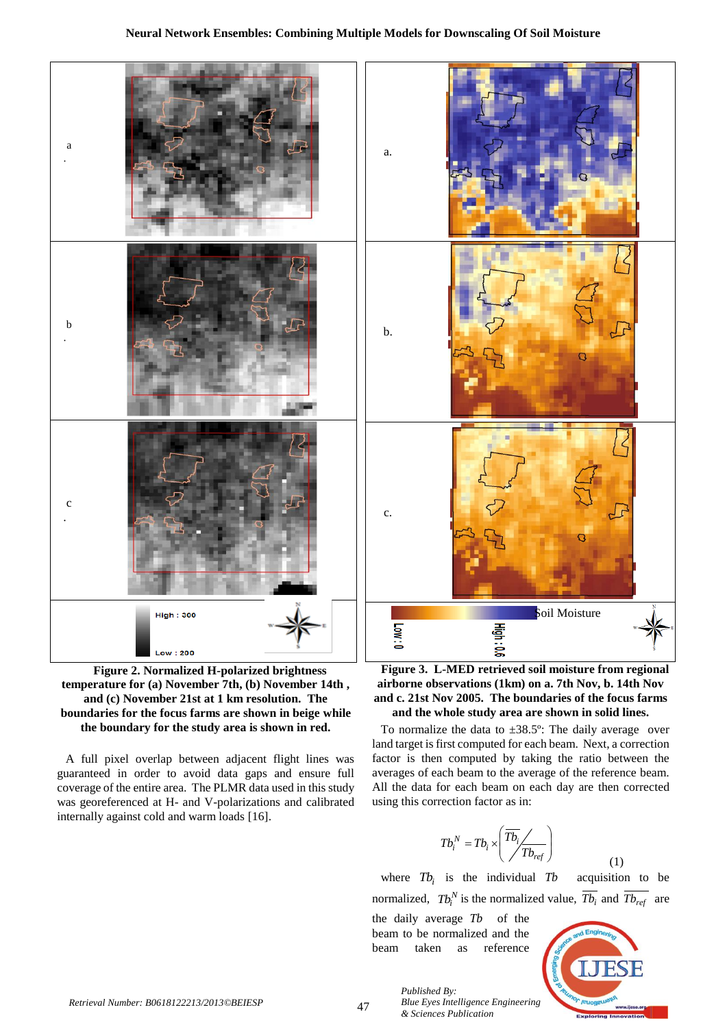

**Figure 2. Normalized H-polarized brightness temperature for (a) November 7th, (b) November 14th , and (c) November 21st at 1 km resolution. The boundaries for the focus farms are shown in beige while the boundary for the study area is shown in red.**

A full pixel overlap between adjacent flight lines was guaranteed in order to avoid data gaps and ensure full coverage of the entire area. The PLMR data used in this study was georeferenced at H- and V-polarizations and calibrated internally against cold and warm loads [16].

**Figure 3. L-MED retrieved soil moisture from regional airborne observations (1km) on a. 7th Nov, b. 14th Nov and c. 21st Nov 2005. The boundaries of the focus farms and the whole study area are shown in solid lines.**

To normalize the data to  $\pm 38.5^{\circ}$ : The daily average over land target is first computed for each beam. Next, a correction factor is then computed by taking the ratio between the averages of each beam to the average of the reference beam. All the data for each beam on each day are then corrected using this correction factor as in:

$$
T b_i^N = T b_i \times \left( \overline{T b_i} / \overline{T b_{ref}} \right)
$$

where  $Tb_i$  is the individual acquisition to be normalized,  $Tb_i^N$  is the normalized value,  $\overline{Tb_i}$  and  $\overline{Tb_{ref}}$  are

the daily average *Tb* of the beam to be normalized and the beam taken as reference

*Published By:*



(1)

47 *Retrieval Number: B0618122213/2013©BEIESP Blue Eyes Intelligence Engineering & Sciences Publication*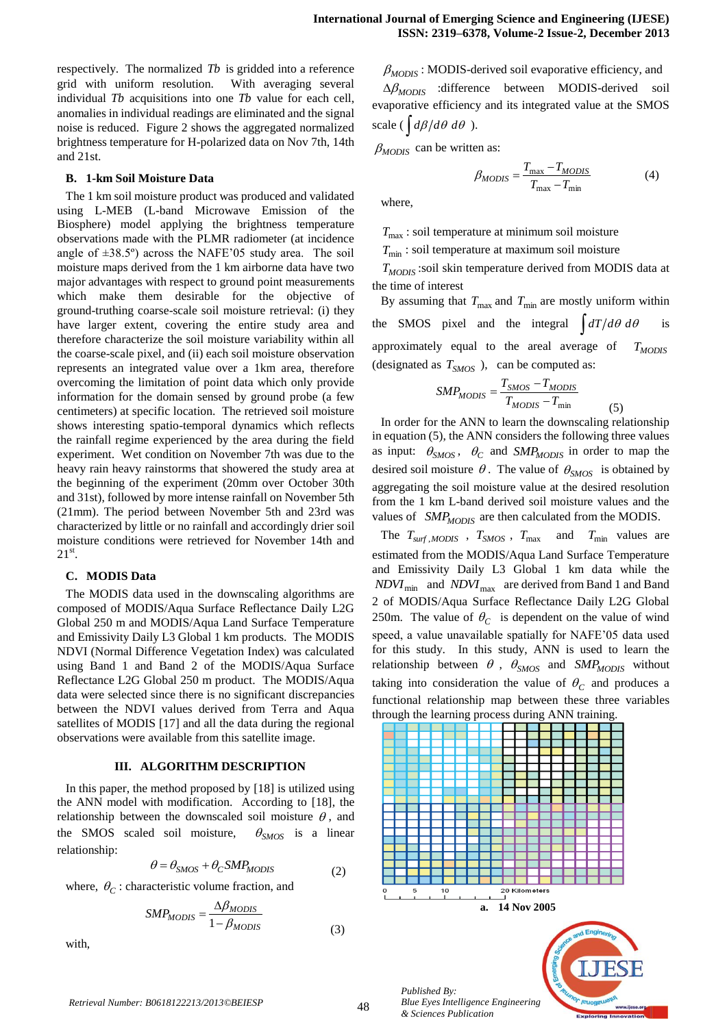respectively. The normalized *Tb* is gridded into a reference grid with uniform resolution. With averaging several individual *Tb* acquisitions into one *Tb* value for each cell, anomalies in individual readings are eliminated and the signal noise is reduced. Figure 2 shows the aggregated normalized brightness temperature for H-polarized data on Nov 7th, 14th and 21st.

#### **B. 1-km Soil Moisture Data**

The 1 km soil moisture product was produced and validated using L-MEB (L-band Microwave Emission of the Biosphere) model applying the brightness temperature observations made with the PLMR radiometer (at incidence angle of  $\pm 38.5^{\circ}$ ) across the NAFE'05 study area. The soil moisture maps derived from the 1 km airborne data have two major advantages with respect to ground point measurements which make them desirable for the objective of ground-truthing coarse-scale soil moisture retrieval: (i) they have larger extent, covering the entire study area and therefore characterize the soil moisture variability within all the coarse-scale pixel, and (ii) each soil moisture observation represents an integrated value over a 1km area, therefore overcoming the limitation of point data which only provide information for the domain sensed by ground probe (a few centimeters) at specific location. The retrieved soil moisture shows interesting spatio-temporal dynamics which reflects the rainfall regime experienced by the area during the field experiment. Wet condition on November 7th was due to the heavy rain heavy rainstorms that showered the study area at the beginning of the experiment (20mm over October 30th and 31st), followed by more intense rainfall on November 5th (21mm). The period between November 5th and 23rd was characterized by little or no rainfall and accordingly drier soil moisture conditions were retrieved for November 14th and  $21^{\text{st}}$ .

#### **C. MODIS Data**

The MODIS data used in the downscaling algorithms are composed of MODIS/Aqua Surface Reflectance Daily L2G Global 250 m and MODIS/Aqua Land Surface Temperature and Emissivity Daily L3 Global 1 km products. The MODIS NDVI (Normal Difference Vegetation Index) was calculated using Band 1 and Band 2 of the MODIS/Aqua Surface Reflectance L2G Global 250 m product. The MODIS/Aqua data were selected since there is no significant discrepancies between the NDVI values derived from Terra and Aqua satellites of MODIS [17] and all the data during the regional observations were available from this satellite image.

## **III. ALGORITHM DESCRIPTION**

In this paper, the method proposed by [18] is utilized using the ANN model with modification. According to [18], the relationship between the downscaled soil moisture  $\theta$ , and the SMOS scaled soil moisture,  $\theta_{SMOS}$  is a linear relationship:

$$
\theta = \theta_{SMOS} + \theta_{C} SMP_{MODIS}
$$
 (2)

where,  $\theta_C$ : characteristic volume fraction, and

$$
SMP_{MODIS} = \frac{\Delta\beta_{MODIS}}{1 - \beta_{MODIS}}\tag{3}
$$

with,

 $\beta_{MODIS}$ : MODIS-derived soil evaporative efficiency, and

 $\Delta\beta_{MODIS}$  :difference between MODIS-derived soil evaporative efficiency and its integrated value at the SMOS scale ( $\int d\beta / d\theta \ d\theta$ ).

 $\beta_{MODIS}$  can be written as:

$$
\beta_{MODIS} = \frac{T_{\text{max}} - T_{MODIS}}{T_{\text{max}} - T_{\text{min}}} \tag{4}
$$

where,

*T*max : soil temperature at minimum soil moisture

 $T_{\text{min}}$ : soil temperature at maximum soil moisture

*TMODIS* :soil skin temperature derived from MODIS data at the time of interest

By assuming that  $T_{\text{max}}$  and  $T_{\text{min}}$  are mostly uniform within the SMOS pixel and the integral  $\int dT/d\theta d\theta$  is approximately equal to the areal average of *TMODIS* (designated as  $T_{SMOS}$ ), can be computed as:

$$
SMP_{MODIS} = \frac{T_{SMOS} - T_{MODIS}}{T_{MODIS} - T_{min}}
$$
(5)

In order for the ANN to learn the downscaling relationship in equation (5), the ANN considers the following three values as input:  $\theta_{SMOS}$ ,  $\theta_C$  and  $SMP_{MODIS}$  in order to map the desired soil moisture  $\theta$ . The value of  $\theta_{SMOS}$  is obtained by aggregating the soil moisture value at the desired resolution from the 1 km L-band derived soil moisture values and the values of *SMP<sub>MODIS</sub>* are then calculated from the MODIS.

The  $T_{\text{surf},MODIS}$ ,  $T_{\text{SMOS}}$ ,  $T_{\text{max}}$  and  $T_{\text{min}}$  values are estimated from the MODIS/Aqua Land Surface Temperature and Emissivity Daily L3 Global 1 km data while the *NDVI*<sub>min</sub> and *NDVI*<sub>max</sub> are derived from Band 1 and Band 2 of MODIS/Aqua Surface Reflectance Daily L2G Global 250m. The value of  $\theta_c$  is dependent on the value of wind speed, a value unavailable spatially for NAFE'05 data used for this study. In this study, ANN is used to learn the relationship between  $\theta$ ,  $\theta_{SMOS}$  and  $SMP_{MODIS}$  without taking into consideration the value of  $\theta_c$  and produces a functional relationship map between these three variables through the learning process during ANN training.

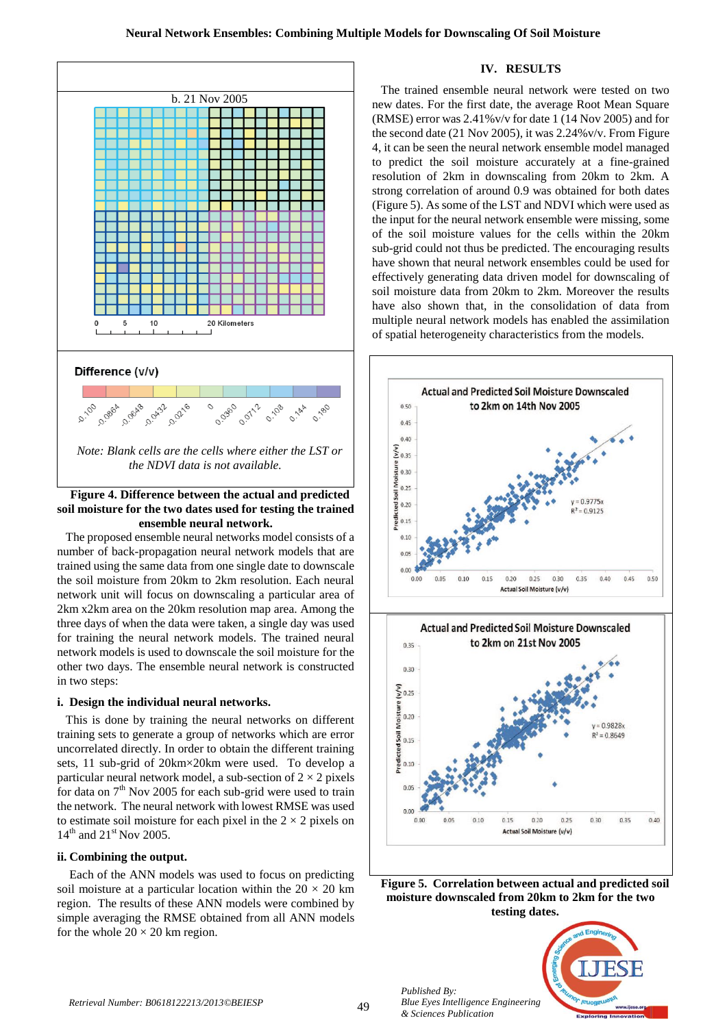

## **Figure 4. Difference between the actual and predicted soil moisture for the two dates used for testing the trained ensemble neural network.**

The proposed ensemble neural networks model consists of a number of back-propagation neural network models that are trained using the same data from one single date to downscale the soil moisture from 20km to 2km resolution. Each neural network unit will focus on downscaling a particular area of 2km x2km area on the 20km resolution map area. Among the three days of when the data were taken, a single day was used for training the neural network models. The trained neural network models is used to downscale the soil moisture for the other two days. The ensemble neural network is constructed in two steps:

## **i. Design the individual neural networks.**

This is done by training the neural networks on different training sets to generate a group of networks which are error uncorrelated directly. In order to obtain the different training sets, 11 sub-grid of 20km×20km were used. To develop a particular neural network model, a sub-section of  $2 \times 2$  pixels for data on  $7<sup>th</sup>$  Nov 2005 for each sub-grid were used to train the network. The neural network with lowest RMSE was used to estimate soil moisture for each pixel in the  $2 \times 2$  pixels on  $14^{th}$  and  $21^{st}$  Nov 2005.

## **ii. Combining the output.**

Each of the ANN models was used to focus on predicting soil moisture at a particular location within the  $20 \times 20$  km region. The results of these ANN models were combined by simple averaging the RMSE obtained from all ANN models for the whole  $20 \times 20$  km region.

# **IV. RESULTS**

The trained ensemble neural network were tested on two new dates. For the first date, the average Root Mean Square (RMSE) error was 2.41%v/v for date 1 (14 Nov 2005) and for the second date (21 Nov 2005), it was 2.24%v/v. From Figure 4, it can be seen the neural network ensemble model managed to predict the soil moisture accurately at a fine-grained resolution of 2km in downscaling from 20km to 2km. A strong correlation of around 0.9 was obtained for both dates (Figure 5). As some of the LST and NDVI which were used as the input for the neural network ensemble were missing, some of the soil moisture values for the cells within the 20km sub-grid could not thus be predicted. The encouraging results have shown that neural network ensembles could be used for effectively generating data driven model for downscaling of soil moisture data from 20km to 2km. Moreover the results have also shown that, in the consolidation of data from multiple neural network models has enabled the assimilation of spatial heterogeneity characteristics from the models.







*Published By:*

*& Sciences Publication*